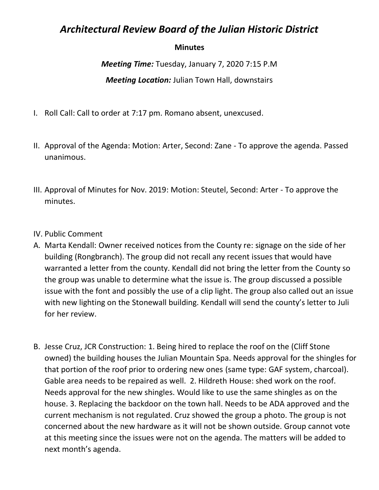## *Architectural Review Board of the Julian Historic District*

## **Minutes**

*Meeting Time:* Tuesday, January 7, 2020 7:15 P.M *Meeting Location:* Julian Town Hall, downstairs

- I. Roll Call: Call to order at 7:17 pm. Romano absent, unexcused.
- II. Approval of the Agenda: Motion: Arter, Second: Zane To approve the agenda. Passed unanimous.
- III. Approval of Minutes for Nov. 2019: Motion: Steutel, Second: Arter To approve the minutes.
- IV. Public Comment
- A. Marta Kendall: Owner received notices from the County re: signage on the side of her building (Rongbranch). The group did not recall any recent issues that would have warranted a letter from the county. Kendall did not bring the letter from the County so the group was unable to determine what the issue is. The group discussed a possible issue with the font and possibly the use of a clip light. The group also called out an issue with new lighting on the Stonewall building. Kendall will send the county's letter to Juli for her review.
- B. Jesse Cruz, JCR Construction: 1. Being hired to replace the roof on the (Cliff Stone owned) the building houses the Julian Mountain Spa. Needs approval for the shingles for that portion of the roof prior to ordering new ones (same type: GAF system, charcoal). Gable area needs to be repaired as well. 2. Hildreth House: shed work on the roof. Needs approval for the new shingles. Would like to use the same shingles as on the house. 3. Replacing the backdoor on the town hall. Needs to be ADA approved and the current mechanism is not regulated. Cruz showed the group a photo. The group is not concerned about the new hardware as it will not be shown outside. Group cannot vote at this meeting since the issues were not on the agenda. The matters will be added to next month's agenda.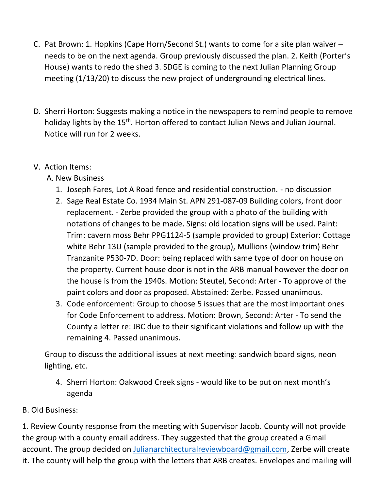- C. Pat Brown: 1. Hopkins (Cape Horn/Second St.) wants to come for a site plan waiver needs to be on the next agenda. Group previously discussed the plan. 2. Keith (Porter's House) wants to redo the shed 3. SDGE is coming to the next Julian Planning Group meeting (1/13/20) to discuss the new project of undergrounding electrical lines.
- D. Sherri Horton: Suggests making a notice in the newspapers to remind people to remove holiday lights by the 15<sup>th</sup>. Horton offered to contact Julian News and Julian Journal. Notice will run for 2 weeks.
- V. Action Items:
	- A. New Business
		- 1. Joseph Fares, Lot A Road fence and residential construction. no discussion
		- 2. Sage Real Estate Co. 1934 Main St. APN 291-087-09 Building colors, front door replacement. - Zerbe provided the group with a photo of the building with notations of changes to be made. Signs: old location signs will be used. Paint: Trim: cavern moss Behr PPG1124-5 (sample provided to group) Exterior: Cottage white Behr 13U (sample provided to the group), Mullions (window trim) Behr Tranzanite P530-7D. Door: being replaced with same type of door on house on the property. Current house door is not in the ARB manual however the door on the house is from the 1940s. Motion: Steutel, Second: Arter - To approve of the paint colors and door as proposed. Abstained: Zerbe. Passed unanimous.
		- 3. Code enforcement: Group to choose 5 issues that are the most important ones for Code Enforcement to address. Motion: Brown, Second: Arter - To send the County a letter re: JBC due to their significant violations and follow up with the remaining 4. Passed unanimous.

Group to discuss the additional issues at next meeting: sandwich board signs, neon lighting, etc.

- 4. Sherri Horton: Oakwood Creek signs would like to be put on next month's agenda
- B. Old Business:

1. Review County response from the meeting with Supervisor Jacob. County will not provide the group with a county email address. They suggested that the group created a Gmail account. The group decided on [Julianarchitecturalreviewboard@gmail.com,](mailto:Julianarchitecturalreviewboard@gmail.com) Zerbe will create it. The county will help the group with the letters that ARB creates. Envelopes and mailing will